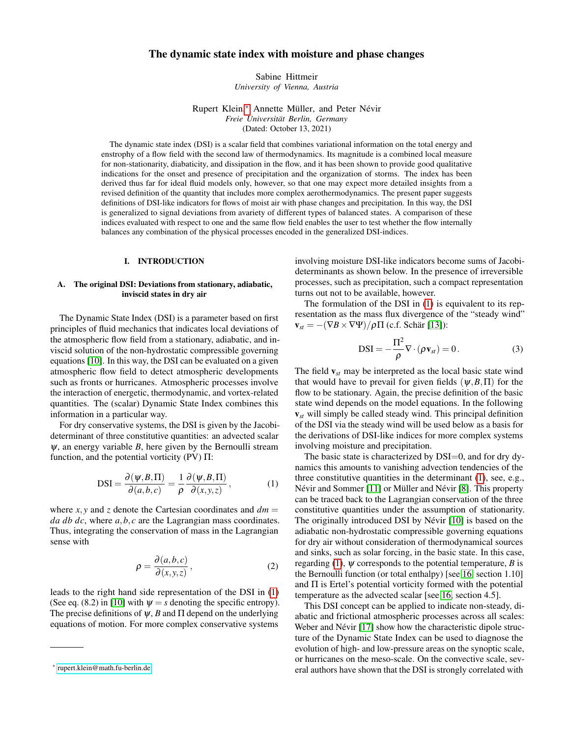## The dynamic state index with moisture and phase changes

Sabine Hittmeir *University of Vienna, Austria*

Rupert Klein,[∗](#page-0-0) Annette Müller, and Peter Névir *Freie Universität Berlin, Germany* (Dated: October 13, 2021)

The dynamic state index (DSI) is a scalar field that combines variational information on the total energy and enstrophy of a flow field with the second law of thermodynamics. Its magnitude is a combined local measure for non-stationarity, diabaticity, and dissipation in the flow, and it has been shown to provide good qualitative indications for the onset and presence of precipitation and the organization of storms. The index has been derived thus far for ideal fluid models only, however, so that one may expect more detailed insights from a revised definition of the quantity that includes more complex aerothermodynamics. The present paper suggests definitions of DSI-like indicators for flows of moist air with phase changes and precipitation. In this way, the DSI is generalized to signal deviations from avariety of different types of balanced states. A comparison of these indices evaluated with respect to one and the same flow field enables the user to test whether the flow internally balances any combination of the physical processes encoded in the generalized DSI-indices.

## I. INTRODUCTION

### A. The original DSI: Deviations from stationary, adiabatic, inviscid states in dry air

The Dynamic State Index (DSI) is a parameter based on first principles of fluid mechanics that indicates local deviations of the atmospheric flow field from a stationary, adiabatic, and inviscid solution of the non-hydrostatic compressible governing equations [\[10\]](#page-9-0). In this way, the DSI can be evaluated on a given atmospheric flow field to detect atmospheric developments such as fronts or hurricanes. Atmospheric processes involve the interaction of energetic, thermodynamic, and vortex-related quantities. The (scalar) Dynamic State Index combines this information in a particular way.

For dry conservative systems, the DSI is given by the Jacobideterminant of three constitutive quantities: an advected scalar  $\psi$ , an energy variable *B*, here given by the Bernoulli stream function, and the potential vorticity  $(PV) \Pi$ :

<span id="page-0-1"></span>
$$
DSI = \frac{\partial(\psi, B, \Pi)}{\partial(a, b, c)} = \frac{1}{\rho} \frac{\partial(\psi, B, \Pi)}{\partial(x, y, z)},
$$
(1)

where  $x, y$  and  $z$  denote the Cartesian coordinates and  $dm =$ *da db dc*, where *a*,*b*, *c* are the Lagrangian mass coordinates. Thus, integrating the conservation of mass in the Lagrangian sense with

$$
\rho = \frac{\partial(a,b,c)}{\partial(x,y,z)},\tag{2}
$$

leads to the right hand side representation of the DSI in [\(1\)](#page-0-1) (See eq. (8.2) in [\[10\]](#page-9-0) with  $\psi = s$  denoting the specific entropy). The precise definitions of  $\psi$ , *B* and  $\Pi$  depend on the underlying equations of motion. For more complex conservative systems

involving moisture DSI-like indicators become sums of Jacobideterminants as shown below. In the presence of irreversible processes, such as precipitation, such a compact representation turns out not to be available, however.

The formulation of the DSI in [\(1\)](#page-0-1) is equivalent to its representation as the mass flux divergence of the "steady wind"  $\mathbf{v}_{st} = -(\nabla B \times \nabla \Psi)/\rho \Pi$  (c.f. Schär [\[13\]](#page-10-0)):

$$
DSI = -\frac{\Pi^2}{\rho} \nabla \cdot (\rho \mathbf{v}_{st}) = 0.
$$
 (3)

The field v*st* may be interpreted as the local basic state wind that would have to prevail for given fields  $(\psi, B, \Pi)$  for the flow to be stationary. Again, the precise definition of the basic state wind depends on the model equations. In the following v*st* will simply be called steady wind. This principal definition of the DSI via the steady wind will be used below as a basis for the derivations of DSI-like indices for more complex systems involving moisture and precipitation.

The basic state is characterized by DSI=0, and for dry dynamics this amounts to vanishing advection tendencies of the three constitutive quantities in the determinant [\(1\)](#page-0-1), see, e.g., Névir and Sommer [\[11\]](#page-10-1) or Müller and Névir [\[8\]](#page-9-1). This property can be traced back to the Lagrangian conservation of the three constitutive quantities under the assumption of stationarity. The originally introduced DSI by Névir [\[10\]](#page-9-0) is based on the adiabatic non-hydrostatic compressible governing equations for dry air without consideration of thermodynamical sources and sinks, such as solar forcing, in the basic state. In this case, regarding [\(1\)](#page-0-1),  $\psi$  corresponds to the potential temperature, *B* is the Bernoulli function (or total enthalpy) [see [16,](#page-10-2) section 1.10] and Π is Ertel's potential vorticity formed with the potential temperature as the advected scalar [see [16,](#page-10-2) section 4.5].

This DSI concept can be applied to indicate non-steady, diabatic and frictional atmospheric processes across all scales: Weber and Névir [\[17\]](#page-10-3) show how the characteristic dipole structure of the Dynamic State Index can be used to diagnose the evolution of high- and low-pressure areas on the synoptic scale, or hurricanes on the meso-scale. On the convective scale, several authors have shown that the DSI is strongly correlated with

<span id="page-0-0"></span><sup>∗</sup> [rupert.klein@math.fu-berlin.de](mailto:rupert.klein@math.fu-berlin.de)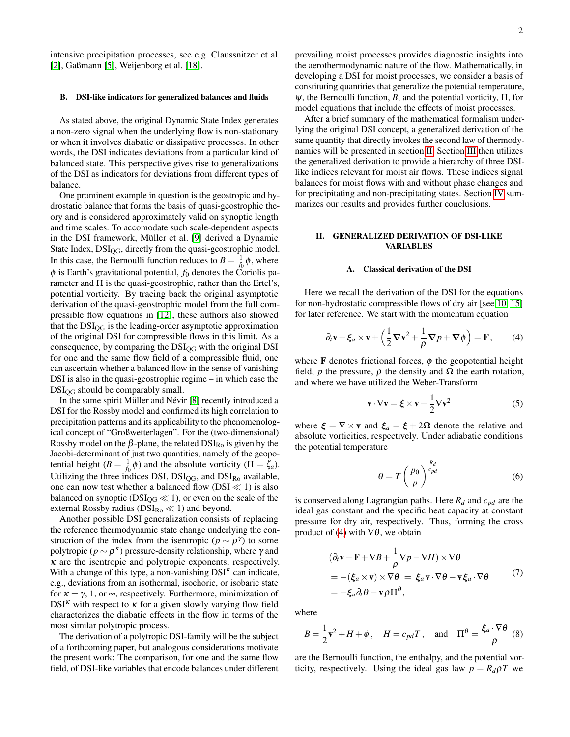intensive precipitation processes, see e.g. Claussnitzer et al. [\[2\]](#page-9-2), Gaßmann [\[5\]](#page-9-3), Weijenborg et al. [\[18\]](#page-10-4).

#### B. DSI-like indicators for generalized balances and fluids

As stated above, the original Dynamic State Index generates a non-zero signal when the underlying flow is non-stationary or when it involves diabatic or dissipative processes. In other words, the DSI indicates deviations from a particular kind of balanced state. This perspective gives rise to generalizations of the DSI as indicators for deviations from different types of balance.

One prominent example in question is the geostropic and hydrostatic balance that forms the basis of quasi-geostrophic theory and is considered approximately valid on synoptic length and time scales. To accomodate such scale-dependent aspects in the DSI framework, Müller et al. [\[9\]](#page-9-4) derived a Dynamic State Index,  $DSI_{OG}$ , directly from the quasi-geostrophic model. In this case, the Bernoulli function reduces to  $B = \frac{1}{f_0} \phi$ , where  $\phi$  is Earth's gravitational potential,  $f_0$  denotes the Coriolis parameter and  $\Pi$  is the quasi-geostrophic, rather than the Ertel's, potential vorticity. By tracing back the original asymptotic derivation of the quasi-geostrophic model from the full compressible flow equations in [\[12\]](#page-10-5), these authors also showed that the  $DSI_{OG}$  is the leading-order asymptotic approximation of the original DSI for compressible flows in this limit. As a consequence, by comparing the  $DSI_{OG}$  with the original DSI for one and the same flow field of a compressible fluid, one can ascertain whether a balanced flow in the sense of vanishing DSI is also in the quasi-geostrophic regime – in which case the DSI<sub>OG</sub> should be comparably small.

In the same spirit Müller and Névir [\[8\]](#page-9-1) recently introduced a DSI for the Rossby model and confirmed its high correlation to precipitation patterns and its applicability to the phenomenological concept of "Großwetterlagen". For the (two-dimensional) Rossby model on the  $\beta$ -plane, the related  $DSI_{Ro}$  is given by the Jacobi-determinant of just two quantities, namely of the geopotential height  $(B = \frac{1}{f_0} \phi)$  and the absolute vorticity  $(\Pi = \zeta_a)$ . Utilizing the three indices DSI,  $DSI_{QG}$ , and  $DSI_{Ro}$  available, one can now test whether a balanced flow ( $DSI \ll 1$ ) is also balanced on synoptic ( $DSI_{OG} \ll 1$ ), or even on the scale of the external Rossby radius ( $DSI_{Ro} \ll 1$ ) and beyond.

Another possible DSI generalization consists of replacing the reference thermodynamic state change underlying the construction of the index from the isentropic ( $p \sim \rho^{\gamma}$ ) to some polytropic ( $p \sim \rho^{\kappa}$ ) pressure-density relationship, where  $\gamma$  and  $\kappa$  are the isentropic and polytropic exponents, respectively. With a change of this type, a non-vanishing  $DSI<sup>\kappa</sup>$  can indicate, e.g., deviations from an isothermal, isochoric, or isobaric state for  $\kappa = \gamma$ , 1, or  $\infty$ , respectively. Furthermore, minimization of  $DSI^k$  with respect to  $\kappa$  for a given slowly varying flow field characterizes the diabatic effects in the flow in terms of the most similar polytropic process.

The derivation of a polytropic DSI-family will be the subject of a forthcoming paper, but analogous considerations motivate the present work: The comparison, for one and the same flow field, of DSI-like variables that encode balances under different

prevailing moist processes provides diagnostic insights into the aerothermodynamic nature of the flow. Mathematically, in developing a DSI for moist processes, we consider a basis of constituting quantities that generalize the potential temperature,  $ψ$ , the Bernoulli function, *B*, and the potential vorticity,  $\Pi$ , for model equations that include the effects of moist processes.

After a brief summary of the mathematical formalism underlying the original DSI concept, a generalized derivation of the same quantity that directly invokes the second law of thermodynamics will be presented in section [II.](#page-1-0) Section [III](#page-4-0) then utilizes the generalized derivation to provide a hierarchy of three DSIlike indices relevant for moist air flows. These indices signal balances for moist flows with and without phase changes and for precipitating and non-precipitating states. Section [IV](#page-8-0) summarizes our results and provides further conclusions.

## <span id="page-1-0"></span>II. GENERALIZED DERIVATION OF DSI-LIKE VARIABLES

#### <span id="page-1-3"></span>A. Classical derivation of the DSI

Here we recall the derivation of the DSI for the equations for non-hydrostatic compressible flows of dry air [see [10,](#page-9-0) [15\]](#page-10-6) for later reference. We start with the momentum equation

<span id="page-1-1"></span>
$$
\partial_t \mathbf{v} + \xi_a \times \mathbf{v} + \left(\frac{1}{2}\nabla \mathbf{v}^2 + \frac{1}{\rho}\nabla p + \nabla \phi\right) = \mathbf{F},\qquad(4)
$$

where **F** denotes frictional forces,  $\phi$  the geopotential height field, *p* the pressure,  $\rho$  the density and  $\Omega$  the earth rotation, and where we have utilized the Weber-Transform

$$
\mathbf{v} \cdot \nabla \mathbf{v} = \xi \times \mathbf{v} + \frac{1}{2} \nabla \mathbf{v}^2 \tag{5}
$$

where  $\xi = \nabla \times \mathbf{v}$  and  $\xi_a = \xi + 2\Omega$  denote the relative and absolute vorticities, respectively. Under adiabatic conditions the potential temperature

<span id="page-1-4"></span>
$$
\theta = T \left(\frac{p_0}{p}\right)^{\frac{R_d}{c_{pd}}} \tag{6}
$$

is conserved along Lagrangian paths. Here *R<sup>d</sup>* and *cpd* are the ideal gas constant and the specific heat capacity at constant pressure for dry air, respectively. Thus, forming the cross product of [\(4\)](#page-1-1) with  $\nabla \theta$ , we obtain

$$
(\partial_t \mathbf{v} - \mathbf{F} + \nabla B + \frac{1}{\rho} \nabla p - \nabla H) \times \nabla \theta
$$
  
= -(\xi\_a \times \mathbf{v}) \times \nabla \theta = \xi\_a \mathbf{v} \cdot \nabla \theta - \mathbf{v} \xi\_a \cdot \nabla \theta (7)  
= -\xi\_a \partial\_t \theta - \mathbf{v} \rho \Pi^{\theta},

where

<span id="page-1-2"></span>
$$
B = \frac{1}{2}\mathbf{v}^2 + H + \phi \,, \quad H = c_{pd}T \,, \quad \text{and} \quad \Pi^{\theta} = \frac{\xi_a \cdot \nabla \theta}{\rho} \tag{8}
$$

are the Bernoulli function, the enthalpy, and the potential vorticity, respectively. Using the ideal gas law  $p = R_d \rho T$  we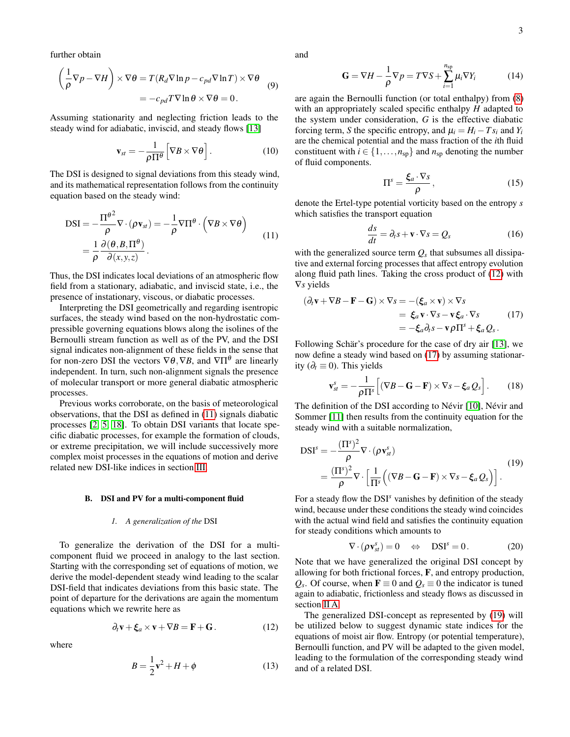further obtain

$$
\left(\frac{1}{\rho}\nabla p - \nabla H\right) \times \nabla \theta = T(R_d \nabla \ln p - c_{pd} \nabla \ln T) \times \nabla \theta
$$
  
=  $-c_{pd} T \nabla \ln \theta \times \nabla \theta = 0.$  (9)

Assuming stationarity and neglecting friction leads to the steady wind for adiabatic, inviscid, and steady flows [\[13\]](#page-10-0)

$$
\mathbf{v}_{st} = -\frac{1}{\rho \Pi^{\theta}} \Big[ \nabla B \times \nabla \theta \Big]. \tag{10}
$$

The DSI is designed to signal deviations from this steady wind, and its mathematical representation follows from the continuity equation based on the steady wind:

<span id="page-2-0"></span>
$$
DSI = -\frac{\Pi^{\theta^2}}{\rho} \nabla \cdot (\rho \mathbf{v}_{st}) = -\frac{1}{\rho} \nabla \Pi^{\theta} \cdot (\nabla B \times \nabla \theta)
$$
  
=  $\frac{1}{\rho} \frac{\partial (\theta, B, \Pi^{\theta})}{\partial (x, y, z)}$ . (11)

Thus, the DSI indicates local deviations of an atmospheric flow field from a stationary, adiabatic, and inviscid state, i.e., the presence of instationary, viscous, or diabatic processes.

Interpreting the DSI geometrically and regarding isentropic surfaces, the steady wind based on the non-hydrostatic compressible governing equations blows along the isolines of the Bernoulli stream function as well as of the PV, and the DSI signal indicates non-alignment of these fields in the sense that for non-zero DSI the vectors  $\nabla \theta$ ,  $\nabla B$ , and  $\nabla \Pi^{\theta}$  are linearly independent. In turn, such non-alignment signals the presence of molecular transport or more general diabatic atmospheric processes.

Previous works corroborate, on the basis of meteorological observations, that the DSI as defined in [\(11\)](#page-2-0) signals diabatic processes [\[2,](#page-9-2) [5,](#page-9-3) [18\]](#page-10-4). To obtain DSI variants that locate specific diabatic processes, for example the formation of clouds, or extreme precipitation, we will include successively more complex moist processes in the equations of motion and derive related new DSI-like indices in section [III.](#page-4-0)

#### B. DSI and PV for a multi-component fluid

## *1. A generalization of the* DSI

To generalize the derivation of the DSI for a multicomponent fluid we proceed in analogy to the last section. Starting with the corresponding set of equations of motion, we derive the model-dependent steady wind leading to the scalar DSI-field that indicates deviations from this basic state. The point of departure for the derivations are again the momentum equations which we rewrite here as

<span id="page-2-1"></span>
$$
\partial_t \mathbf{v} + \xi_a \times \mathbf{v} + \nabla B = \mathbf{F} + \mathbf{G} \,. \tag{12}
$$

where

<span id="page-2-6"></span>
$$
B = \frac{1}{2}\mathbf{v}^2 + H + \phi\tag{13}
$$

and

<span id="page-2-4"></span>
$$
\mathbf{G} = \nabla H - \frac{1}{\rho} \nabla p = T \nabla S + \sum_{i=1}^{n_{\rm sp}} \mu_i \nabla Y_i \tag{14}
$$

are again the Bernoulli function (or total enthalpy) from [\(8\)](#page-1-2) with an appropriately scaled specific enthalpy *H* adapted to the system under consideration, *G* is the effective diabatic forcing term, *S* the specific entropy, and  $\mu_i = H_i - Ts_i$  and  $Y_i$ are the chemical potential and the mass fraction of the *i*th fluid constituent with  $i \in \{1, \ldots, n_{sp}\}$  and  $n_{sp}$  denoting the number of fluid components.

$$
\Pi^s = \frac{\xi_a \cdot \nabla s}{\rho},\tag{15}
$$

denote the Ertel-type potential vorticity based on the entropy *s* which satisfies the transport equation

<span id="page-2-5"></span>
$$
\frac{ds}{dt} = \partial_t s + \mathbf{v} \cdot \nabla s = Q_s \tag{16}
$$

with the generalized source term  $Q_s$  that subsumes all dissipative and external forcing processes that affect entropy evolution along fluid path lines. Taking the cross product of [\(12\)](#page-2-1) with ∇*s* yields

<span id="page-2-2"></span>
$$
(\partial_t \mathbf{v} + \nabla B - \mathbf{F} - \mathbf{G}) \times \nabla s = -(\xi_a \times \mathbf{v}) \times \nabla s
$$
  
=  $\xi_a \mathbf{v} \cdot \nabla s - \mathbf{v} \xi_a \cdot \nabla s$  (17)  
=  $-\xi_a \partial_t s - \mathbf{v} \rho \Pi^s + \xi_a Q_s$ .

Following Schär's procedure for the case of dry air [\[13\]](#page-10-0), we now define a steady wind based on [\(17\)](#page-2-2) by assuming stationarity ( $\partial_t$  ≡ 0). This yields

$$
\mathbf{v}_{st}^{s} = -\frac{1}{\rho \Pi^{s}} \Big[ (\nabla B - \mathbf{G} - \mathbf{F}) \times \nabla s - \xi_{a} Q_{s} \Big]. \tag{18}
$$

The definition of the DSI according to Névir [\[10\]](#page-9-0), Névir and Sommer [\[11\]](#page-10-1) then results from the continuity equation for the steady wind with a suitable normalization,

<span id="page-2-3"></span>
$$
DSIs = -\frac{(\Pis)^{2}}{\rho} \nabla \cdot (\rho \mathbf{v}_{st}^{s})
$$
  
=  $\frac{(\Pis)^{2}}{\rho} \nabla \cdot \left[ \frac{1}{\Pi^{s}} \left( (\nabla B - \mathbf{G} - \mathbf{F}) \times \nabla s - \xi_{a} Q_{s} \right) \right].$  (19)

For a steady flow the DSI<sup>s</sup> vanishes by definition of the steady wind, because under these conditions the steady wind coincides with the actual wind field and satisfies the continuity equation for steady conditions which amounts to

$$
\nabla \cdot (\rho \mathbf{v}_{st}^s) = 0 \quad \Leftrightarrow \quad \text{DSI}^s = 0. \tag{20}
$$

Note that we have generalized the original DSI concept by allowing for both frictional forces, F, and entropy production,  $Q_s$ . Of course, when **F**  $\equiv$  0 and  $Q_s \equiv$  0 the indicator is tuned again to adiabatic, frictionless and steady flows as discussed in section [II A.](#page-1-3)

The generalized DSI-concept as represented by [\(19\)](#page-2-3) will be utilized below to suggest dynamic state indices for the equations of moist air flow. Entropy (or potential temperature), Bernoulli function, and PV will be adapted to the given model, leading to the formulation of the corresponding steady wind and of a related DSI.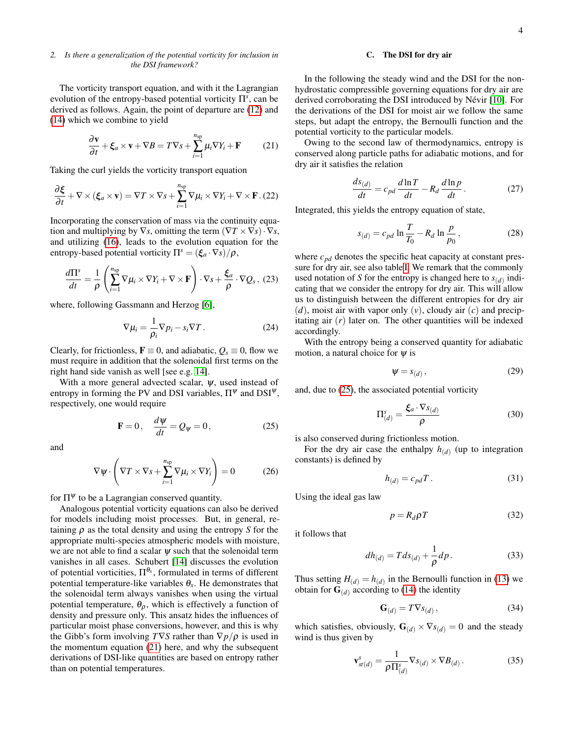## *2. Is there a generalization of the potential vorticity for inclusion in the DSI framework?*

The vorticity transport equation, and with it the Lagrangian evolution of the entropy-based potential vorticity Π*<sup>s</sup>* , can be derived as follows. Again, the point of departure are [\(12\)](#page-2-1) and [\(14\)](#page-2-4) which we combine to yield

<span id="page-3-0"></span>
$$
\frac{\partial \mathbf{v}}{\partial t} + \xi_a \times \mathbf{v} + \nabla B = T \nabla s + \sum_{i=1}^{n_{\rm sp}} \mu_i \nabla Y_i + \mathbf{F}
$$
 (21)

Taking the curl yields the vorticity transport equation

$$
\frac{\partial \boldsymbol{\xi}}{\partial t} + \nabla \times (\boldsymbol{\xi}_a \times \mathbf{v}) = \nabla T \times \nabla s + \sum_{i=1}^{n_{\rm sp}} \nabla \mu_i \times \nabla Y_i + \nabla \times \mathbf{F} \tag{22}
$$

Incorporating the conservation of mass via the continuity equation and multiplying by  $\nabla s$ , omitting the term  $(\nabla T \times \nabla s) \cdot \nabla s$ , and utilizing [\(16\)](#page-2-5), leads to the evolution equation for the entropy-based potential vorticity  $\Pi^s = (\xi_a \cdot \nabla s)/\rho$ ,

$$
\frac{d\Pi^s}{dt} = \frac{1}{\rho} \left( \sum_{i=1}^{n_{\rm sp}} \nabla \mu_i \times \nabla Y_i + \nabla \times \mathbf{F} \right) \cdot \nabla s + \frac{\xi_a}{\rho} \cdot \nabla Q_s \,, \tag{23}
$$

where, following Gassmann and Herzog [\[6\]](#page-9-5),

$$
\nabla \mu_i = \frac{1}{\rho_i} \nabla p_i - s_i \nabla T. \tag{24}
$$

Clearly, for frictionless,  $\mathbf{F} \equiv 0$ , and adiabatic,  $Q_s \equiv 0$ , flow we must require in addition that the solenoidal first terms on the right hand side vanish as well [see e.g. [14\]](#page-10-7).

With a more general advected scalar,  $\psi$ , used instead of entropy in forming the PV and DSI variables,  $\Pi^{\psi}$  and  $\text{DSI}^{\psi}$ , respectively, one would require

<span id="page-3-1"></span>
$$
\mathbf{F} = 0, \quad \frac{d\psi}{dt} = Q_{\psi} = 0, \tag{25}
$$

and

$$
\nabla \psi \cdot \left( \nabla T \times \nabla s + \sum_{i=1}^{n_{\rm sp}} \nabla \mu_i \times \nabla Y_i \right) = 0 \tag{26}
$$

for  $\Pi^{\psi}$  to be a Lagrangian conserved quantity.

Analogous potential vorticity equations can also be derived for models including moist processes. But, in general, retaining ρ as the total density and using the entropy *S* for the appropriate multi-species atmospheric models with moisture, we are not able to find a scalar  $\psi$  such that the solenoidal term vanishes in all cases. Schubert [\[14\]](#page-10-7) discusses the evolution of potential vorticities,  $\Pi^{\theta_x}$ , formulated in terms of different potential temperature-like variables  $\theta_x$ . He demonstrates that the solenoidal term always vanishes when using the virtual potential temperature,  $\theta_{\rho}$ , which is effectively a function of density and pressure only. This ansatz hides the influences of particular moist phase conversions, however, and this is why the Gibb's form involving  $T\nabla S$  rather than  $\nabla p/\rho$  is used in the momentum equation [\(21\)](#page-3-0) here, and why the subsequent derivations of DSI-like quantities are based on entropy rather than on potential temperatures.

### C. The DSI for dry air

In the following the steady wind and the DSI for the nonhydrostatic compressible governing equations for dry air are derived corroborating the DSI introduced by Névir [\[10\]](#page-9-0). For the derivations of the DSI for moist air we follow the same steps, but adapt the entropy, the Bernoulli function and the potential vorticity to the particular models.

Owing to the second law of thermodynamics, entropy is conserved along particle paths for adiabatic motions, and for dry air it satisfies the relation

$$
\frac{ds_{(d)}}{dt} = c_{pd} \frac{d \ln T}{dt} - R_d \frac{d \ln p}{dt}.
$$
 (27)

Integrated, this yields the entropy equation of state,

$$
s_{(d)} = c_{pd} \ln \frac{T}{T_0} - R_d \ln \frac{p}{p_0},
$$
 (28)

where  $c_{pd}$  denotes the specific heat capacity at constant pressure for dry air, see also table [I.](#page-4-1) We remark that the commonly used notation of *S* for the entropy is changed here to  $s_{(d)}$  indicating that we consider the entropy for dry air. This will allow us to distinguish between the different entropies for dry air  $(d)$ , moist air with vapor only  $(v)$ , cloudy air  $(c)$  and precipitating air (*r*) later on. The other quantities will be indexed accordingly.

With the entropy being a conserved quantity for adiabatic motion, a natural choice for  $\psi$  is

$$
\Psi = s_{(d)}\,,\tag{29}
$$

and, due to [\(25\)](#page-3-1), the associated potential vorticity

$$
\Pi_{(d)}^{s} = \frac{\xi_a \cdot \nabla s_{(d)}}{\rho} \tag{30}
$$

is also conserved during frictionless motion.

For the dry air case the enthalpy  $h_{(d)}$  (up to integration constants) is defined by

$$
h_{(d)} = c_{pd}T. \tag{31}
$$

Using the ideal gas law

$$
p = R_d \rho T \tag{32}
$$

it follows that

$$
dh_{(d)} = T ds_{(d)} + \frac{1}{\rho} dp.
$$
 (33)

Thus setting  $H_{(d)} = h_{(d)}$  in the Bernoulli function in [\(13\)](#page-2-6) we obtain for  $\mathbf{G}_{(d)}$  according to [\(14\)](#page-2-4) the identity

$$
\mathbf{G}_{(d)} = T \nabla s_{(d)},\tag{34}
$$

which satisfies, obviously,  $\mathbf{G}_{(d)} \times \nabla s_{(d)} = 0$  and the steady wind is thus given by

$$
\mathbf{v}_{st(d)}^s = \frac{1}{\rho \Pi_{(d)}^s} \nabla s_{(d)} \times \nabla B_{(d)}.
$$
 (35)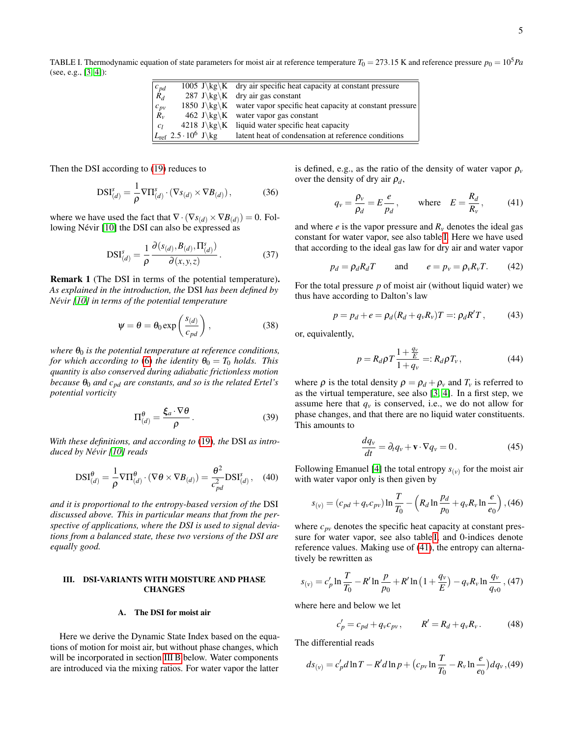<span id="page-4-1"></span>TABLE I. Thermodynamic equation of state parameters for moist air at reference temperature  $T_0 = 273.15$  K and reference pressure  $p_0 = 10^5 Pa$ (see, e.g., [\[3,](#page-9-6) [4\]](#page-9-7)):

|                                                 |                                                     | 1005 J\kg\K dry air specific heat capacity at constant pressure        |
|-------------------------------------------------|-----------------------------------------------------|------------------------------------------------------------------------|
| $\begin{bmatrix} c_{pd} \\ R_d \end{bmatrix}$   |                                                     | 287 J\kg\K dry air gas constant                                        |
| $\begin{array}{ c } c_{pv} \ R_{v} \end{array}$ |                                                     | 1850 J $\kg\K$ water vapor specific heat capacity at constant pressure |
|                                                 |                                                     | 462 J\kg\K water vapor gas constant                                    |
| c <sub>l</sub>                                  |                                                     | 4218 J\kg\K liquid water specific heat capacity                        |
|                                                 | $L_{\text{ref}}$ 2.5 $\cdot$ 10 <sup>6</sup> J \ kg | latent heat of condensation at reference conditions                    |
|                                                 |                                                     |                                                                        |

Then the DSI according to [\(19\)](#page-2-3) reduces to

<span id="page-4-5"></span>
$$
DSI_{(d)}^{s} = \frac{1}{\rho} \nabla \Pi_{(d)}^{s} \cdot (\nabla s_{(d)} \times \nabla B_{(d)}),
$$
 (36)

where we have used the fact that  $\nabla \cdot (\nabla s_{(d)} \times \nabla B_{(d)}) = 0$ . Following Névir [\[10\]](#page-9-0) the DSI can also be expressed as

$$
DSI_{(d)}^{s} = \frac{1}{\rho} \frac{\partial (s_{(d)}, B_{(d)}, \Pi_{(d)}^{s})}{\partial (x, y, z)}.
$$
 (37)

Remark 1 (The DSI in terms of the potential temperature). *As explained in the introduction, the* DSI *has been defined by Névir [\[10\]](#page-9-0) in terms of the potential temperature*

$$
\psi = \theta = \theta_0 \exp\left(\frac{s_{(d)}}{c_{pd}}\right),\qquad(38)
$$

*where*  $\theta_0$  *is the potential temperature at reference conditions, for which according to* [\(6\)](#page-1-4) *the identity*  $\theta_0 = T_0$  *holds. This quantity is also conserved during adiabatic frictionless motion because*  $\theta_0$  *and*  $c_{pd}$  *are constants, and so is the related Ertel's potential vorticity*

$$
\Pi_{(d)}^{\theta} = \frac{\xi_a \cdot \nabla \theta}{\rho}.
$$
 (39)

*With these definitions, and according to* [\(19\)](#page-2-3)*, the* DSI *as introduced by Névir [\[10\]](#page-9-0) reads*

$$
DSI_{(d)}^{\theta} = \frac{1}{\rho} \nabla \Pi_{(d)}^{\theta} \cdot (\nabla \theta \times \nabla B_{(d)}) = \frac{\theta^2}{c_{pd}^2} DSI_{(d)}^s, \quad (40)
$$

*and it is proportional to the entropy-based version of the* DSI *discussed above. This in particular means that from the perspective of applications, where the DSI is used to signal deviations from a balanced state, these two versions of the DSI are equally good.*

### <span id="page-4-0"></span>III. DSI-VARIANTS WITH MOISTURE AND PHASE **CHANGES**

## A. The DSI for moist air

Here we derive the Dynamic State Index based on the equations of motion for moist air, but without phase changes, which will be incorporated in section [III B](#page-6-0) below. Water components are introduced via the mixing ratios. For water vapor the latter

is defined, e.g., as the ratio of the density of water vapor  $\rho$ <sup>*v*</sup> over the density of dry air  $\rho_d$ ,

<span id="page-4-2"></span>
$$
q_{v} = \frac{\rho_{v}}{\rho_{d}} = E \frac{e}{p_{d}}, \quad \text{where} \quad E = \frac{R_{d}}{R_{v}}, \quad (41)
$$

and where  $e$  is the vapor pressure and  $R<sub>v</sub>$  denotes the ideal gas constant for water vapor, see also table [I.](#page-4-1) Here we have used that according to the ideal gas law for dry air and water vapor

$$
p_d = \rho_d R_d T \qquad \text{and} \qquad e = p_v = \rho_v R_v T. \tag{42}
$$

For the total pressure *p* of moist air (without liquid water) we thus have according to Dalton's law

<span id="page-4-4"></span>
$$
p = p_d + e = \rho_d (R_d + q_v R_v) T =: \rho_d R' T, \qquad (43)
$$

or, equivalently,

$$
p = R_d \rho T \frac{1 + \frac{q_v}{E}}{1 + q_v} =: R_d \rho T_v, \qquad (44)
$$

where  $\rho$  is the total density  $\rho = \rho_d + \rho_v$  and  $T_v$  is referred to as the virtual temperature, see also [\[3,](#page-9-6) [4\]](#page-9-7). In a first step, we assume here that  $q<sub>v</sub>$  is conserved, i.e., we do not allow for phase changes, and that there are no liquid water constituents. This amounts to

$$
\frac{dq_v}{dt} = \partial_t q_v + \mathbf{v} \cdot \nabla q_v = 0.
$$
 (45)

Following Emanuel [\[4\]](#page-9-7) the total entropy  $s_{(v)}$  for the moist air with water vapor only is then given by

$$
s_{(v)} = (c_{pd} + q_v c_{pv}) \ln \frac{T}{T_0} - \left(R_d \ln \frac{p_d}{p_0} + q_v R_v \ln \frac{e}{e_0}\right), (46)
$$

where  $c_{pv}$  denotes the specific heat capacity at constant pressure for water vapor, see also table [I,](#page-4-1) and 0-indices denote reference values. Making use of [\(41\)](#page-4-2), the entropy can alternatively be rewritten as

$$
s_{(v)} = c'_p \ln \frac{T}{T_0} - R' \ln \frac{p}{p_0} + R' \ln \left( 1 + \frac{q_v}{E} \right) - q_v R_v \ln \frac{q_v}{q_{v0}},
$$
 (47)

where here and below we let

$$
c'_{p} = c_{pd} + q_{v}c_{pv}, \t R' = R_{d} + q_{v}R_{v}.
$$
 (48)

The differential reads

<span id="page-4-3"></span>
$$
ds_{(v)} = c_p' d \ln T - R' d \ln p + \left(c_{pv} \ln \frac{T}{T_0} - R_v \ln \frac{e}{e_0}\right) dq_v, (49)
$$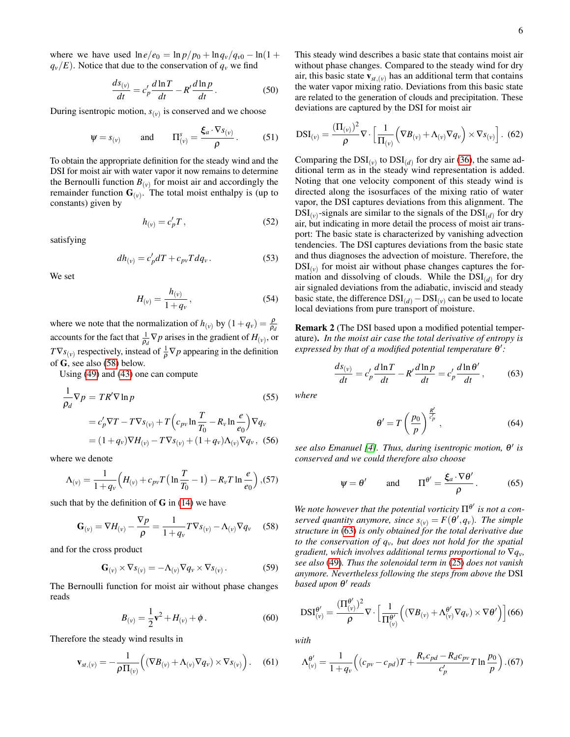where we have used  $\ln e/e_0 = \ln p/p_0 + \ln q_v/q_{v0} - \ln(1 +$  $q_v/E$ ). Notice that due to the conservation of  $q_v$  we find

$$
\frac{ds_{(v)}}{dt} = c'_p \frac{d\ln T}{dt} - R' \frac{d\ln p}{dt}.
$$
 (50)

During isentropic motion,  $s_{(v)}$  is conserved and we choose

$$
\psi = s_{(v)}
$$
 and  $\Pi_{(v)}^s = \frac{\xi_a \cdot \nabla s_{(v)}}{\rho}$ . (51)

To obtain the appropriate definition for the steady wind and the DSI for moist air with water vapor it now remains to determine the Bernoulli function  $B_{(v)}$  for moist air and accordingly the remainder function  $\mathbf{G}_{(v)}$ . The total moist enthalpy is (up to constants) given by

$$
h_{(v)} = c_p' T \,, \tag{52}
$$

satisfying

$$
dh_{(v)} = c_p' dT + c_{pv} T dq_v.
$$
 (53)

We set

$$
H_{(v)} = \frac{h_{(v)}}{1 + q_v},
$$
\n(54)

where we note that the normalization of  $h_{(v)}$  by  $(1+q_v) = \frac{\rho}{\rho_d}$ accounts for the fact that  $\frac{1}{\rho_d} \nabla p$  arises in the gradient of  $H_{(v)}$ , or  $TVs_{(v)}$  respectively, instead of  $\frac{1}{\rho} \nabla p$  appearing in the definition of G, see also [\(58\)](#page-5-0) below.

Using [\(49\)](#page-4-3) and [\(43\)](#page-4-4) one can compute

$$
\frac{1}{\rho_d} \nabla p = TR'\nabla \ln p
$$
\n
$$
= c'_p \nabla T - T \nabla s_{(v)} + T \left( c_{pv} \ln \frac{T}{T_0} - R_v \ln \frac{e}{e_0} \right) \nabla q_v
$$
\n
$$
= (1 + q_v) \nabla H_{(v)} - T \nabla s_{(v)} + (1 + q_v) \Lambda_{(v)} \nabla q_v, (56)
$$

where we denote

<span id="page-5-2"></span>
$$
\Lambda_{(v)} = \frac{1}{1+q_v} \Big( H_{(v)} + c_{pv} T \Big( \ln \frac{T}{T_0} - 1 \Big) - R_v T \ln \frac{e}{e_0} \Big), (57)
$$

such that by the definition of  $\bf{G}$  in [\(14\)](#page-2-4) we have

<span id="page-5-0"></span>
$$
\mathbf{G}_{(v)} = \nabla H_{(v)} - \frac{\nabla p}{\rho} = \frac{1}{1 + q_v} T \nabla s_{(v)} - \Lambda_{(v)} \nabla q_v \quad (58)
$$

and for the cross product

$$
\mathbf{G}_{(v)} \times \nabla s_{(v)} = -\Lambda_{(v)} \nabla q_v \times \nabla s_{(v)}.
$$
 (59)

The Bernoulli function for moist air without phase changes reads

$$
B_{(v)} = \frac{1}{2}v^2 + H_{(v)} + \phi.
$$
 (60)

Therefore the steady wind results in

$$
\mathbf{v}_{st,(v)} = -\frac{1}{\rho \Pi_{(v)}} \Big( (\nabla B_{(v)} + \Lambda_{(v)} \nabla q_v) \times \nabla s_{(v)} \Big). \quad (61)
$$

This steady wind describes a basic state that contains moist air without phase changes. Compared to the steady wind for dry air, this basic state  $\mathbf{v}_{st,(v)}$  has an additional term that contains the water vapor mixing ratio. Deviations from this basic state are related to the generation of clouds and precipitation. These deviations are captured by the DSI for moist air

$$
DSI_{(v)} = \frac{(\Pi_{(v)})^2}{\rho} \nabla \cdot \left[ \frac{1}{\Pi_{(v)}} \left( \nabla B_{(v)} + \Lambda_{(v)} \nabla q_v \right) \times \nabla s_{(v)} \right].
$$
 (62)

Comparing the  $DSI_{(v)}$  to  $DSI_{(d)}$  for dry air [\(36\)](#page-4-5), the same additional term as in the steady wind representation is added. Noting that one velocity component of this steady wind is directed along the isosurfaces of the mixing ratio of water vapor, the DSI captures deviations from this alignment. The  $DSI_{(v)}$ -signals are similar to the signals of the  $DSI_{(d)}$  for dry air, but indicating in more detail the process of moist air transport: The basic state is characterized by vanishing advection tendencies. The DSI captures deviations from the basic state and thus diagnoses the advection of moisture. Therefore, the  $DSI_{(v)}$  for moist air without phase changes captures the formation and dissolving of clouds. While the  $DSI_{(d)}$  for dry air signaled deviations from the adiabatic, inviscid and steady basic state, the difference  $DSI_{(d)} - DSI_{(v)}$  can be used to locate local deviations from pure transport of moisture.

Remark 2 (The DSI based upon a modified potential temperature). *In the moist air case the total derivative of entropy is expressed by that of a modified potential temperature* θ':

<span id="page-5-1"></span>
$$
\frac{ds_{(v)}}{dt} = c'_p \frac{d\ln T}{dt} - R' \frac{d\ln p}{dt} = c'_p \frac{d\ln \theta'}{dt},\qquad(63)
$$

*where*

$$
\theta' = T\left(\frac{p_0}{p}\right)^{\frac{R'}{c_p'}},\tag{64}
$$

*see also Emanuel [\[4\]](#page-9-7). Thus, during isentropic motion,* θ 0 *is conserved and we could therefore also choose*

$$
\psi = \theta'
$$
 and  $\Pi^{\theta'} = \frac{\xi_a \cdot \nabla \theta'}{\rho}$ . (65)

We note however that the potential vorticity  $\Pi^{\theta'}$  is not a con*served quantity anymore, since*  $s_{(v)} = F(\theta', q_v)$ . The simple *structure in* [\(63\)](#page-5-1) *is only obtained for the total derivative due to the conservation of qv, but does not hold for the spatial gradient, which involves additional terms proportional to*  $\nabla q_v$ *, see also* [\(49\)](#page-4-3)*. Thus the solenoidal term in* [\(25\)](#page-3-1) *does not vanish anymore. Nevertheless following the steps from above the* DSI *based upon* θ 0 *reads*

$$
DSI_{(v)}^{\theta'} = \frac{(\Pi_{(v)}^{\theta'})^2}{\rho} \nabla \cdot \left[ \frac{1}{\Pi_{(v)}^{\theta'}} \left( (\nabla B_{(v)} + \Lambda_{(v)}^{\theta'} \nabla q_v) \times \nabla \theta' \right) \right] (66)
$$

*with*

$$
\Lambda_{(v)}^{\theta'} = \frac{1}{1+q_v} \left( (c_{pv} - c_{pd})T + \frac{R_v c_{pd} - R_d c_{pv}}{c'_p} T \ln \frac{p_0}{p} \right). (67)
$$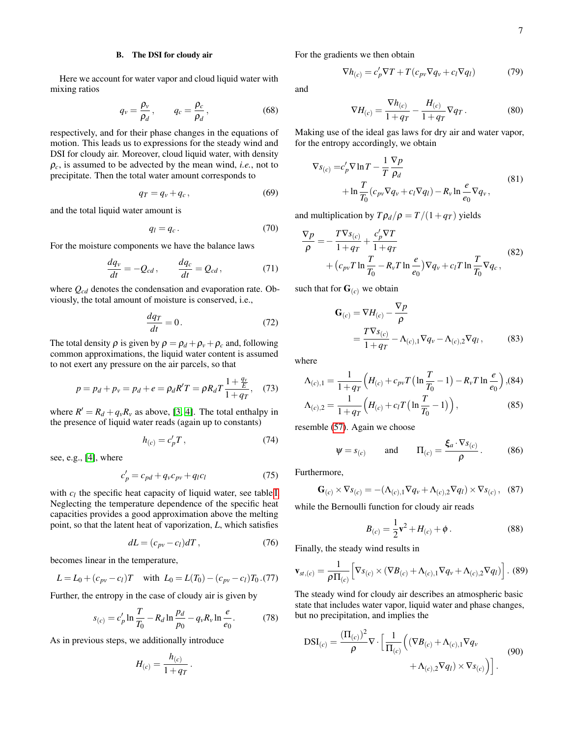## <span id="page-6-0"></span>B. The DSI for cloudy air

Here we account for water vapor and cloud liquid water with mixing ratios

$$
q_v = \frac{\rho_v}{\rho_d}, \qquad q_c = \frac{\rho_c}{\rho_d}, \qquad (68)
$$

respectively, and for their phase changes in the equations of motion. This leads us to expressions for the steady wind and DSI for cloudy air. Moreover, cloud liquid water, with density  $\rho_c$ , is assumed to be advected by the mean wind, *i.e.*, not to precipitate. Then the total water amount corresponds to

$$
q_T = q_v + q_c, \qquad (69)
$$

and the total liquid water amount is

$$
q_l = q_c. \t\t(70)
$$

For the moisture components we have the balance laws

$$
\frac{dq_v}{dt} = -Q_{cd}, \qquad \frac{dq_c}{dt} = Q_{cd}, \tag{71}
$$

where *Qcd* denotes the condensation and evaporation rate. Obviously, the total amount of moisture is conserved, i.e.,

$$
\frac{dq_T}{dt} = 0.\t(72)
$$

The total density  $\rho$  is given by  $\rho = \rho_d + \rho_v + \rho_c$  and, following common approximations, the liquid water content is assumed to not exert any pressure on the air parcels, so that

$$
p = p_d + p_v = p_d + e = \rho_d R' T = \rho R_d T \frac{1 + \frac{q_v}{E}}{1 + q_T},
$$
 (73)

where  $R' = R_d + q_v R_v$  as above, [\[3,](#page-9-6) [4\]](#page-9-7). The total enthalpy in the presence of liquid water reads (again up to constants)

<span id="page-6-2"></span>
$$
h_{(c)} = c_p' T \,, \tag{74}
$$

see, e.g., [\[4\]](#page-9-7), where

$$
c_p' = c_{pd} + q_v c_{pv} + q_l c_l \tag{75}
$$

with  $c_l$  the specific heat capacity of liquid water, see table [I.](#page-4-1) Neglecting the temperature dependence of the specific heat capacities provides a good approximation above the melting point, so that the latent heat of vaporization, *L*, which satisfies

<span id="page-6-3"></span>
$$
dL = (c_{pv} - c_l)dT, \qquad (76)
$$

becomes linear in the temperature,

<span id="page-6-1"></span>
$$
L = L_0 + (c_{pv} - c_l)T
$$
 with  $L_0 = L(T_0) - (c_{pv} - c_l)T_0$ . (77)

Further, the entropy in the case of cloudy air is given by

<span id="page-6-4"></span>
$$
s_{(c)} = c'_p \ln \frac{T}{T_0} - R_d \ln \frac{p_d}{p_0} - q_\nu R_\nu \ln \frac{e}{e_0}.
$$
 (78)

As in previous steps, we additionally introduce

$$
H_{(c)}=\frac{h_{(c)}}{1+q_T}\,.
$$

For the gradients we then obtain

$$
\nabla h_{(c)} = c_p' \nabla T + T(c_{pv} \nabla q_v + c_l \nabla q_l)
$$
 (79)

and

$$
\nabla H_{(c)} = \frac{\nabla h_{(c)}}{1 + q_T} - \frac{H_{(c)}}{1 + q_T} \nabla q_T.
$$
 (80)

Making use of the ideal gas laws for dry air and water vapor, for the entropy accordingly, we obtain

$$
\nabla s_{(c)} = c'_p \nabla \ln T - \frac{1}{T} \frac{\nabla p}{\rho_d}
$$
  
+ 
$$
\ln \frac{T}{T_0} (c_{pv} \nabla q_v + c_l \nabla q_l) - R_v \ln \frac{e}{e_0} \nabla q_v,
$$
 (81)

and multiplication by  $T \rho_d / \rho = T / (1 + q_T)$  yields

$$
\nabla p = -\frac{T\nabla s_{(c)}}{1+qT} + \frac{c_p'\nabla T}{1+qT} + (c_{pv}T\ln\frac{T}{T_0} - R_vT\ln\frac{e}{e_0})\nabla q_v + c_lT\ln\frac{T}{T_0}\nabla q_c,
$$
\n(82)

such that for  $\mathbf{G}_{(c)}$  we obtain

$$
\mathbf{G}_{(c)} = \nabla H_{(c)} - \frac{\nabla p}{\rho}
$$
  
= 
$$
\frac{T \nabla s_{(c)}}{1 + q_T} - \Lambda_{(c),1} \nabla q_v - \Lambda_{(c),2} \nabla q_l,
$$
 (83)

where

$$
\Lambda_{(c),1} = \frac{1}{1+q_T} \left( H_{(c)} + c_{pv} T \left( \ln \frac{T}{T_0} - 1 \right) - R_v T \ln \frac{e}{e_0} \right), (84)
$$
  

$$
\Lambda_{(c),2} = \frac{1}{1+q_T} \left( H_{(c)} + c_l T \left( \ln \frac{T}{T_0} - 1 \right) \right),
$$
 (85)

resemble [\(57\)](#page-5-2). Again we choose

$$
\psi = s_{(c)}
$$
 and  $\Pi_{(c)} = \frac{\xi_a \cdot \nabla s_{(c)}}{\rho}$ . (86)

Furthermore,

$$
\mathbf{G}_{(c)} \times \nabla s_{(c)} = -(\Lambda_{(c),1} \nabla q_v + \Lambda_{(c),2} \nabla q_l) \times \nabla s_{(c)}, \quad (87)
$$

while the Bernoulli function for cloudy air reads

$$
B_{(c)} = \frac{1}{2}v^2 + H_{(c)} + \phi.
$$
 (88)

Finally, the steady wind results in

$$
\mathbf{v}_{st,(c)} = \frac{1}{\rho \Pi_{(c)}} \Big[ \nabla s_{(c)} \times (\nabla B_{(c)} + \Lambda_{(c),1} \nabla q_v + \Lambda_{(c),2} \nabla q_l) \Big]. \tag{89}
$$

The steady wind for cloudy air describes an atmospheric basic state that includes water vapor, liquid water and phase changes, but no precipitation, and implies the

$$
DSI_{(c)} = \frac{(\Pi_{(c)})^2}{\rho} \nabla \cdot \left[ \frac{1}{\Pi_{(c)}} \left( (\nabla B_{(c)} + \Lambda_{(c),1} \nabla q_v + \Lambda_{(c),2} \nabla q_l) \times \nabla s_{(c)} \right) \right].
$$
\n(90)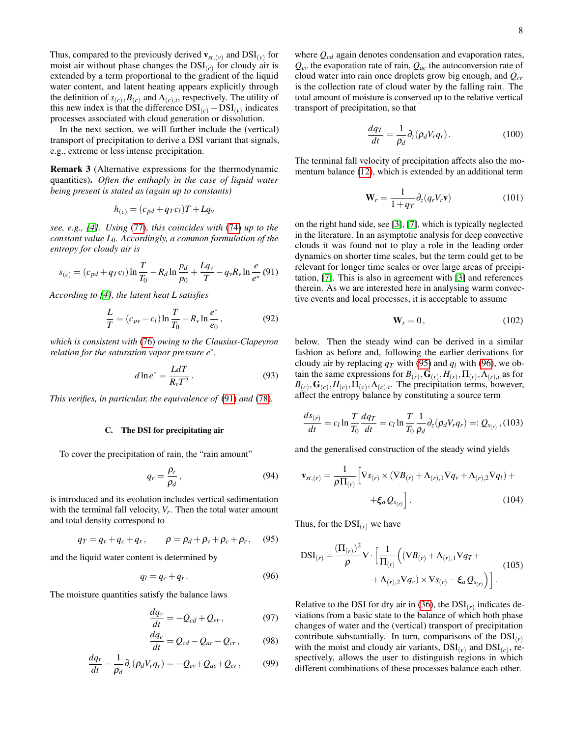Thus, compared to the previously derived  $\mathbf{v}_{st,(v)}$  and  $\text{DSI}_{(v)}$  for moist air without phase changes the  $DSI_{(c)}$  for cloudy air is extended by a term proportional to the gradient of the liquid water content, and latent heating appears explicitly through the definition of  $s_{(c)}$ ,  $B_{(c)}$  and  $\Lambda_{(c),i}$ , respectively. The utility of this new index is that the difference  $DSI_{(c)} - DSI_{(v)}$  indicates processes associated with cloud generation or dissolution.

In the next section, we will further include the (vertical) transport of precipitation to derive a DSI variant that signals, e.g., extreme or less intense precipitation.

Remark 3 (Alternative expressions for the thermodynamic quantities). *Often the enthaply in the case of liquid water being present is stated as (again up to constants)*

$$
h_{(c)} = (c_{pd} + qrc_l)T + Lq_v
$$

*see, e.g., [\[4\]](#page-9-7). Using* [\(77\)](#page-6-1)*, this coincides with* [\(74\)](#page-6-2) *up to the constant value L*0*. Accordingly, a common formulation of the entropy for cloudy air is*

<span id="page-7-0"></span>
$$
s_{(c)} = (c_{pd} + q_T c_l) \ln \frac{T}{T_0} - R_d \ln \frac{p_d}{p_0} + \frac{Lq_v}{T} - q_v R_v \ln \frac{e}{e^*} (91)
$$

*According to [\[4\]](#page-9-7), the latent heat L satisfies*

$$
\frac{L}{T} = (c_{pv} - c_l) \ln \frac{T}{T_0} - R_v \ln \frac{e^*}{e_0},
$$
\n(92)

*which is consistent with* [\(76\)](#page-6-3) *owing to the Clausius-Clapeyron relation for the saturation vapor pressure e*<sup>∗</sup> *,*

$$
d\ln e^* = \frac{LdT}{R_v T^2}.
$$
 (93)

*This verifies, in particular, the equivalence of* [\(91\)](#page-7-0) *and* [\(78\)](#page-6-4)*.*

## C. The DSI for precipitating air

To cover the precipitation of rain, the "rain amount"

$$
q_r = \frac{\rho_r}{\rho_d},\tag{94}
$$

is introduced and its evolution includes vertical sedimentation with the terminal fall velocity, *V<sup>r</sup>* . Then the total water amount and total density correspond to

<span id="page-7-1"></span>
$$
q_T = q_v + q_c + q_r, \qquad \rho = \rho_d + \rho_v + \rho_c + \rho_r, \quad (95)
$$

and the liquid water content is determined by

<span id="page-7-2"></span>
$$
q_l = q_c + q_r. \tag{96}
$$

The moisture quantities satisfy the balance laws

$$
\frac{dq_v}{dt} = -Q_{cd} + Q_{ev},\tag{97}
$$

$$
\frac{dq_c}{dt} = Q_{cd} - Q_{ac} - Q_{cr},\qquad(98)
$$

$$
\frac{dq_r}{dt} - \frac{1}{\rho_d} \partial_z (\rho_d V_r q_r) = -Q_{ev} + Q_{ac} + Q_{cr},\qquad(99)
$$

where *Qcd* again denotes condensation and evaporation rates,  $Q_{ev}$  the evaporation rate of rain,  $Q_{ac}$  the autoconversion rate of cloud water into rain once droplets grow big enough, and *Qcr* is the collection rate of cloud water by the falling rain. The total amount of moisture is conserved up to the relative vertical transport of precipitation, so that

$$
\frac{dq_T}{dt} = \frac{1}{\rho_d} \partial_z (\rho_d V_r q_r). \tag{100}
$$

The terminal fall velocity of precipitation affects also the momentum balance [\(12\)](#page-2-1), which is extended by an additional term

$$
\mathbf{W}_r = \frac{1}{1+q_T} \partial_z (q_r V_r \mathbf{v}) \tag{101}
$$

on the right hand side, see [\[3\]](#page-9-6), [\[7\]](#page-9-8), which is typically neglected in the literature. In an asymptotic analysis for deep convective clouds it was found not to play a role in the leading order dynamics on shorter time scales, but the term could get to be relevant for longer time scales or over large areas of precipitation, [\[7\]](#page-9-8). This is also in agreement with [\[3\]](#page-9-6) and references therein. As we are interested here in analysing warm convective events and local processes, it is acceptable to assume

$$
\mathbf{W}_r = 0, \tag{102}
$$

below. Then the steady wind can be derived in a similar fashion as before and, following the earlier derivations for cloudy air by replacing  $q_T$  with [\(95\)](#page-7-1) and  $q_l$  with [\(96\)](#page-7-2), we obtain the same expressions for  $B(r)$ ,  $G(r)$ ,  $H(r)$ ,  $\Pi(r)$ ,  $\Lambda(r)$ , *i* as for  $B_{(c)}$ ,  $G_{(c)}$ ,  $H_{(c)}$ ,  $\Pi_{(c)}$ ,  $\Lambda_{(c),i}$ . The precipitation terms, however, affect the entropy balance by constituting a source term

$$
\frac{ds_{(r)}}{dt} = c_l \ln \frac{T}{T_0} \frac{dq_T}{dt} = c_l \ln \frac{T}{T_0} \frac{1}{\rho_d} \partial_z (\rho_d V_r q_r) =: Q_{s_{(r)}}, (103)
$$

and the generalised construction of the steady wind yields

$$
\mathbf{v}_{st,(r)} = \frac{1}{\rho \Pi_{(r)}} \Big[ \nabla s_{(r)} \times (\nabla B_{(r)} + \Lambda_{(r),1} \nabla q_v + \Lambda_{(r),2} \nabla q_l) + \\ + \xi_a Q_{s_{(r)}} \Big]. \tag{104}
$$

Thus, for the  $DSI<sub>(r)</sub>$  we have

$$
DSI_{(r)} = \frac{(\Pi_{(r)})^2}{\rho} \nabla \cdot \left[ \frac{1}{\Pi_{(r)}} \left( (\nabla B_{(r)} + \Lambda_{(r),1} \nabla q_T + \nabla \cdot \nabla \cdot \nabla q_T + \nabla \cdot \nabla \cdot \nabla q_T \right) \nabla q_T \right] \n\tag{105}
$$

Relative to the DSI for dry air in  $(36)$ , the  $DSI<sub>(r)</sub>$  indicates deviations from a basic state to the balance of which both phase changes of water and the (vertical) transport of precipitation contribute substantially. In turn, comparisons of the  $DSI<sub>(r)</sub>$ with the moist and cloudy air variants,  $DSI_{(v)}$  and  $DSI_{(c)}$ , respectively, allows the user to distinguish regions in which different combinations of these processes balance each other.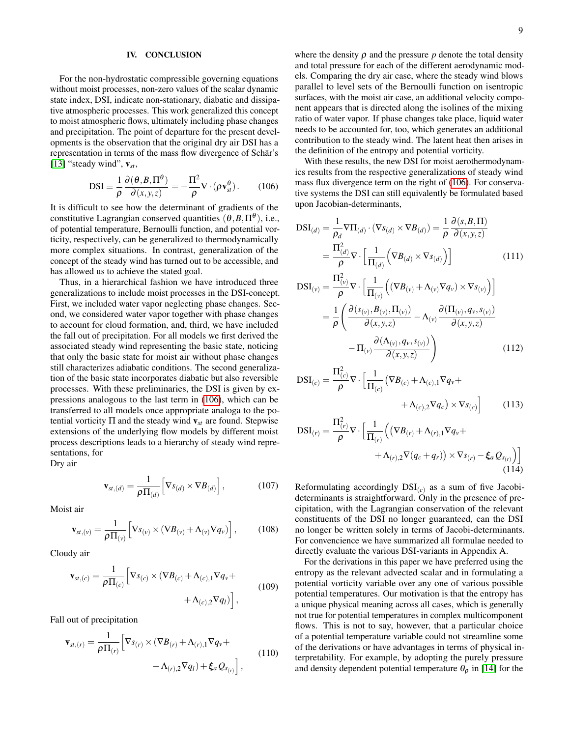## <span id="page-8-0"></span>IV. CONCLUSION

For the non-hydrostatic compressible governing equations without moist processes, non-zero values of the scalar dynamic state index, DSI, indicate non-stationary, diabatic and dissipative atmospheric processes. This work generalized this concept to moist atmospheric flows, ultimately including phase changes and precipitation. The point of departure for the present developments is the observation that the original dry air DSI has a representation in terms of the mass flow divergence of Schär's [\[13\]](#page-10-0) "steady wind",  $v_{st}$ ,

<span id="page-8-1"></span>
$$
DSI \equiv \frac{1}{\rho} \frac{\partial(\theta, B, \Pi^{\theta})}{\partial(x, y, z)} = -\frac{\Pi^2}{\rho} \nabla \cdot (\rho \mathbf{v}_{st}^{\theta}).
$$
 (106)

It is difficult to see how the determinant of gradients of the constitutive Lagrangian conserved quantities  $(\theta, B, \Pi^{\theta})$ , i.e., of potential temperature, Bernoulli function, and potential vorticity, respectively, can be generalized to thermodynamically more complex situations. In contrast, generalization of the concept of the steady wind has turned out to be accessible, and has allowed us to achieve the stated goal.

Thus, in a hierarchical fashion we have introduced three generalizations to include moist processes in the DSI-concept. First, we included water vapor neglecting phase changes. Second, we considered water vapor together with phase changes to account for cloud formation, and, third, we have included the fall out of precipitation. For all models we first derived the associated steady wind representing the basic state, noticing that only the basic state for moist air without phase changes still characterizes adiabatic conditions. The second generalization of the basic state incorporates diabatic but also reversible processes. With these preliminaries, the DSI is given by expressions analogous to the last term in [\(106\)](#page-8-1), which can be transferred to all models once appropriate analoga to the potential vorticity  $\Pi$  and the steady wind  $v_{st}$  are found. Stepwise extensions of the underlying flow models by different moist process descriptions leads to a hierarchy of steady wind representations, for

Dry air

$$
\mathbf{v}_{st,(d)} = \frac{1}{\rho \Pi_{(d)}} \Big[ \nabla s_{(d)} \times \nabla B_{(d)} \Big], \tag{107}
$$

Moist air

$$
\mathbf{v}_{st,(v)} = \frac{1}{\rho \Pi_{(v)}} \Big[ \nabla s_{(v)} \times (\nabla B_{(v)} + \Lambda_{(v)} \nabla q_{v}) \Big], \qquad (108)
$$

Cloudy air

$$
\mathbf{v}_{st,(c)} = \frac{1}{\rho \Pi_{(c)}} \Big[ \nabla s_{(c)} \times (\nabla B_{(c)} + \Lambda_{(c),1} \nabla q_v + \nabla s_{(c),2} \nabla q_l) \Big],
$$
\n(109)

Fall out of precipitation

$$
\mathbf{v}_{st,(r)} = \frac{1}{\rho \Pi_{(r)}} \Big[ \nabla s_{(r)} \times (\nabla B_{(r)} + \Lambda_{(r),1} \nabla q_v + \nabla s_{(r),2} \nabla q_l) + \xi_a Q_{s_{(r)}} \Big],
$$
\n(110)

where the density  $\rho$  and the pressure  $p$  denote the total density and total pressure for each of the different aerodynamic models. Comparing the dry air case, where the steady wind blows parallel to level sets of the Bernoulli function on isentropic surfaces, with the moist air case, an additional velocity component appears that is directed along the isolines of the mixing ratio of water vapor. If phase changes take place, liquid water needs to be accounted for, too, which generates an additional contribution to the steady wind. The latent heat then arises in the definition of the entropy and potential vorticity.

With these results, the new DSI for moist aerothermodynamics results from the respective generalizations of steady wind mass flux divergence term on the right of [\(106\)](#page-8-1). For conservative systems the DSI can still equivalently be formulated based upon Jacobian-determinants,

$$
DSI_{(d)} = \frac{1}{\rho_d} \nabla \Pi_{(d)} \cdot (\nabla s_{(d)} \times \nabla B_{(d)}) = \frac{1}{\rho} \frac{\partial (s, B, \Pi)}{\partial (x, y, z)}
$$

$$
= \frac{\Pi_{(d)}^2}{\rho} \nabla \cdot \left[ \frac{1}{\Pi_{(d)}} \left( \nabla B_{(d)} \times \nabla s_{(d)} \right) \right] \tag{111}
$$

$$
DSI_{(v)} = \frac{\Pi_{(v)}^2}{\rho} \nabla \cdot \left[ \frac{1}{\Pi_{(v)}} \left( (\nabla B_{(v)} + \Lambda_{(v)} \nabla q_v) \times \nabla s_{(v)} \right) \right]
$$

$$
= \frac{1}{\rho} \left( \frac{\partial(s_{(v)}, B_{(v)}, \Pi_{(v)})}{\partial(x, y, z)} - \Lambda_{(v)} \frac{\partial(\Pi_{(v)}, q_{v}, s_{(v)})}{\partial(x, y, z)} - \Pi_{(v)} \frac{\partial(\Lambda_{(v)}, q_{v}, s_{(v)})}{\partial(x, y, z)} \right)
$$
(112)

$$
DSI_{(c)} = \frac{\Pi_{(c)}^2}{\rho} \nabla \cdot \left[ \frac{1}{\Pi_{(c)}} \left( \nabla B_{(c)} + \Lambda_{(c),1} \nabla q_v + \nabla \Lambda_{(c),2} \nabla q_c \right) \times \nabla s_{(c)} \right]
$$
(113)

$$
DSI_{(r)} = \frac{\Pi_{(r)}^2}{\rho} \nabla \cdot \left[ \frac{1}{\Pi_{(r)}} \left( \left( \nabla B_{(r)} + \Lambda_{(r),1} \nabla q_v + + \Lambda_{(r),2} \nabla (q_c + q_r) \right) \times \nabla s_{(r)} - \xi_a Q_{s_{(r)}} \right) \right]
$$
\n(114)

Reformulating accordingly  $DSI_{(c)}$  as a sum of five Jacobideterminants is straightforward. Only in the presence of precipitation, with the Lagrangian conservation of the relevant constituents of the DSI no longer guaranteed, can the DSI no longer be written solely in terms of Jacobi-determinants. For convencience we have summarized all formulae needed to directly evaluate the various DSI-variants in Appendix A.

For the derivations in this paper we have preferred using the entropy as the relevant advected scalar and in formulating a potential vorticity variable over any one of various possible potential temperatures. Our motivation is that the entropy has a unique physical meaning across all cases, which is generally not true for potential temperatures in complex multicomponent flows. This is not to say, however, that a particular choice of a potential temperature variable could not streamline some of the derivations or have advantages in terms of physical interpretability. For example, by adopting the purely pressure and density dependent potential temperature  $\theta_{\rho}$  in [\[14\]](#page-10-7) for the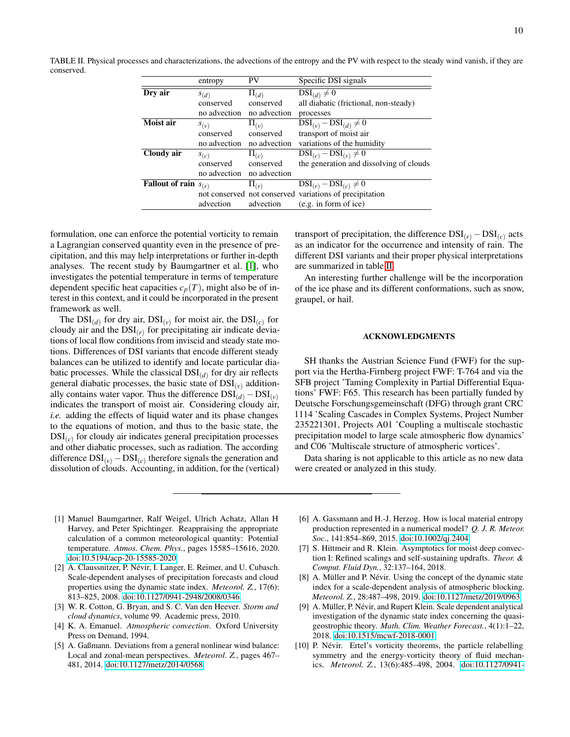<span id="page-9-10"></span>TABLE II. Physical processes and characterizations, the advections of the entropy and the PV with respect to the steady wind vanish, if they are conserved.

|                                  | entropy      | PV            | Specific DSI signals                                    |
|----------------------------------|--------------|---------------|---------------------------------------------------------|
| Dry air                          | S(d)         | $\Pi_{(d)}$   | $DSI_{(d)} \neq 0$                                      |
|                                  | conserved    | conserved     | all diabatic (frictional, non-steady)                   |
|                                  | no advection | no advection  | processes                                               |
| Moist air                        | $S_{(\nu)}$  | $\Pi_{(\nu)}$ | $DSI_{(v)} - DSI_{(d)} \neq 0$                          |
|                                  | conserved    | conserved     | transport of moist air                                  |
|                                  | no advection | no advection  | variations of the humidity                              |
| Cloudy air                       | $s_{(c)}$    | $\Pi_{(c)}$   | $DSI_{(c)} - DSI_{(v)} \neq 0$                          |
|                                  | conserved    | conserved     | the generation and dissolving of clouds                 |
|                                  | no advection | no advection  |                                                         |
| <b>Fallout of rain</b> $s_{(r)}$ |              | $\Pi(r)$      | $DSI_{(r)} - DSI_{(c)} \neq 0$                          |
|                                  |              |               | not conserved not conserved variations of precipitation |
|                                  | advection    | advection     | (e.g. in form of ice)                                   |

formulation, one can enforce the potential vorticity to remain a Lagrangian conserved quantity even in the presence of precipitation, and this may help interpretations or further in-depth analyses. The recent study by Baumgartner et al. [\[1\]](#page-9-9), who investigates the potential temperature in terms of temperature dependent specific heat capacities  $c_p(T)$ , might also be of interest in this context, and it could be incorporated in the present framework as well.

The  $DSI_{(d)}$  for dry air,  $DSI_{(v)}$  for moist air, the  $DSI_{(c)}$  for cloudy air and the  $DSI_{(r)}$  for precipitating air indicate deviations of local flow conditions from inviscid and steady state motions. Differences of DSI variants that encode different steady balances can be utilized to identify and locate particular diabatic processes. While the classical DSI(*d*) for dry air reflects general diabatic processes, the basic state of  $DSI_{(v)}$  additionally contains water vapor. Thus the difference  $DSI_{(d)} - DSI_{(v)}$ indicates the transport of moist air. Considering cloudy air, *i.e.* adding the effects of liquid water and its phase changes to the equations of motion, and thus to the basic state, the DSI(*c*) for cloudy air indicates general precipitation processes and other diabatic processes, such as radiation. The according difference  $DSI_{(v)} - DSI_{(c)}$  therefore signals the generation and dissolution of clouds. Accounting, in addition, for the (vertical)

transport of precipitation, the difference  $DSI_{(r)} - DSI_{(c)}$  acts as an indicator for the occurrence and intensity of rain. The different DSI variants and their proper physical interpretations are summarized in table [II.](#page-9-10)

An interesting further challenge will be the incorporation of the ice phase and its different conformations, such as snow, graupel, or hail.

## ACKNOWLEDGMENTS

SH thanks the Austrian Science Fund (FWF) for the support via the Hertha-Firnberg project FWF: T-764 and via the SFB project 'Taming Complexity in Partial Differential Equations' FWF: F65. This research has been partially funded by Deutsche Forschungsgemeinschaft (DFG) through grant CRC 1114 'Scaling Cascades in Complex Systems, Project Number 235221301, Projects A01 'Coupling a multiscale stochastic precipitation model to large scale atmospheric flow dynamics' and C06 'Multiscale structure of atmospheric vortices'.

Data sharing is not applicable to this article as no new data were created or analyzed in this study.

- <span id="page-9-9"></span>[1] Manuel Baumgartner, Ralf Weigel, Ulrich Achatz, Allan H Harvey, and Peter Spichtinger. Reappraising the appropriate calculation of a common meteorological quantity: Potential temperature. *Atmos. Chem. Phys.*, pages 15585–15616, 2020. [doi:10.5194/acp-20-15585-2020.](http://dx.doi.org/10.5194/acp-20-15585-2020)
- <span id="page-9-2"></span>[2] A. Claussnitzer, P. Névir, I. Langer, E. Reimer, and U. Cubasch. Scale-dependent analyses of precipitation forecasts and cloud properties using the dynamic state index. *Meteorol. Z.*, 17(6): 813–825, 2008. [doi:10.1127/0941-2948/2008/0346.](http://dx.doi.org/10.1127/0941-2948/2008/0346)
- <span id="page-9-6"></span>[3] W. R. Cotton, G. Bryan, and S. C. Van den Heever. *Storm and cloud dynamics*, volume 99. Academic press, 2010.
- <span id="page-9-7"></span>[4] K. A. Emanuel. *Atmospheric convection*. Oxford University Press on Demand, 1994.
- <span id="page-9-3"></span>[5] A. Gaßmann. Deviations from a general nonlinear wind balance: Local and zonal-mean perspectives. *Meteorol. Z.*, pages 467– 481, 2014. [doi:10.1127/metz/2014/0568.](http://dx.doi.org/10.1127/metz/2014/0568)
- <span id="page-9-5"></span>[6] A. Gassmann and H.-J. Herzog. How is local material entropy production represented in a numerical model? *Q. J. R. Meteor. Soc.*, 141:854–869, 2015. [doi:10.1002/qj.2404.](http://dx.doi.org/10.1002/qj.2404)
- <span id="page-9-8"></span>[7] S. Hittmeir and R. Klein. Asymptotics for moist deep convection I: Refined scalings and self-sustaining updrafts. *Theor. & Comput. Fluid Dyn.*, 32:137–164, 2018.
- <span id="page-9-1"></span>[8] A. Müller and P. Névir. Using the concept of the dynamic state index for a scale-dependent analysis of atmospheric blocking. *Meteorol. Z.*, 28:487–498, 2019. [doi:10.1127/metz/2019/0963.](http://dx.doi.org/10.1127/metz/2019/0963)
- <span id="page-9-4"></span>[9] A. Müller, P. Névir, and Rupert Klein. Scale dependent analytical investigation of the dynamic state index concerning the quasigeostrophic theory. *Math. Clim. Weather Forecast.*, 4(1):1–22, 2018. [doi:10.1515/mcwf-2018-0001.](http://dx.doi.org/10.1515/mcwf-2018-0001)
- <span id="page-9-0"></span>[10] P. Névir. Ertel's vorticity theorems, the particle relabelling symmetry and the energy-vorticity theory of fluid mechanics. *Meteorol. Z.*, 13(6):485–498, 2004. [doi:10.1127/0941-](http://dx.doi.org/10.1127/0941-2948/2004/0013-0485)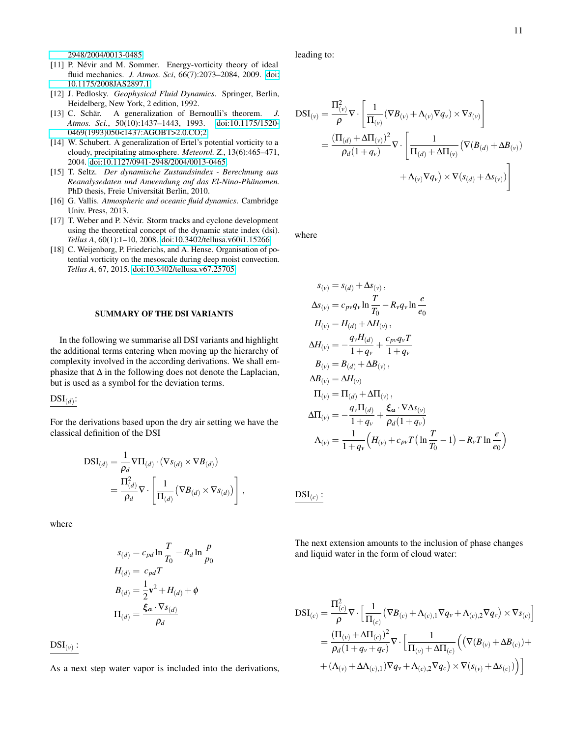[2948/2004/0013-0485.](http://dx.doi.org/10.1127/0941-2948/2004/0013-0485)

- <span id="page-10-1"></span>[11] P. Névir and M. Sommer. Energy-vorticity theory of ideal fluid mechanics. *J. Atmos. Sci*, 66(7):2073–2084, 2009. [doi:](http://dx.doi.org/10.1175/2008JAS2897.1) [10.1175/2008JAS2897.1.](http://dx.doi.org/10.1175/2008JAS2897.1)
- <span id="page-10-5"></span>[12] J. Pedlosky. *Geophysical Fluid Dynamics*. Springer, Berlin, Heidelberg, New York, 2 edition, 1992.
- <span id="page-10-0"></span>[13] C. Schär. A generalization of Bernoulli's theorem. *J. Atmos. Sci.*, 50(10):1437–1443, 1993. [doi:10.1175/1520-](http://dx.doi.org/10.1175/1520-0469(1993)050<1437:AGOBT>2.0.CO;2) [0469\(1993\)050<1437:AGOBT>2.0.CO;2.](http://dx.doi.org/10.1175/1520-0469(1993)050<1437:AGOBT>2.0.CO;2)
- <span id="page-10-7"></span>[14] W. Schubert. A generalization of Ertel's potential vorticity to a cloudy, precipitating atmosphere. *Meteorol. Z.*, 13(6):465–471, 2004. [doi:10.1127/0941-2948/2004/0013-0465.](http://dx.doi.org/10.1127/0941-2948/2004/0013-0465)
- <span id="page-10-6"></span>[15] T. Seltz. *Der dynamische Zustandsindex - Berechnung aus Reanalysedaten und Anwendung auf das El-Nino-Phänomen*. PhD thesis, Freie Universität Berlin, 2010.
- <span id="page-10-2"></span>[16] G. Vallis. *Atmospheric and oceanic fluid dynamics*. Cambridge Univ. Press, 2013.
- <span id="page-10-3"></span>[17] T. Weber and P. Névir. Storm tracks and cyclone development using the theoretical concept of the dynamic state index (dsi). *Tellus A*, 60(1):1–10, 2008. [doi:10.3402/tellusa.v60i1.15266.](http://dx.doi.org/10.3402/tellusa.v60i1.15266)
- <span id="page-10-4"></span>[18] C. Weijenborg, P. Friederichs, and A. Hense. Organisation of potential vorticity on the mesoscale during deep moist convection. *Tellus A*, 67, 2015. [doi:10.3402/tellusa.v67.25705.](http://dx.doi.org/10.3402/tellusa.v67.25705)

#### SUMMARY OF THE DSI VARIANTS

In the following we summarise all DSI variants and highlight the additional terms entering when moving up the hierarchy of complexity involved in the according derivations. We shall emphasize that  $\Delta$  in the following does not denote the Laplacian, but is used as a symbol for the deviation terms.

# $\mathrm{DSI}_{(d)}$ :

For the derivations based upon the dry air setting we have the classical definition of the DSI

$$
DSI_{(d)} = \frac{1}{\rho_d} \nabla \Pi_{(d)} \cdot (\nabla s_{(d)} \times \nabla B_{(d)})
$$
  
= 
$$
\frac{\Pi_{(d)}^2}{\rho_d} \nabla \cdot \left[ \frac{1}{\Pi_{(d)}} (\nabla B_{(d)} \times \nabla s_{(d)}) \right],
$$

where

$$
s_{(d)} = c_{pd} \ln \frac{T}{T_0} - R_d \ln \frac{p}{p_0}
$$

$$
H_{(d)} = c_{pd} T
$$

$$
B_{(d)} = \frac{1}{2} \mathbf{v}^2 + H_{(d)} + \phi
$$

$$
\Pi_{(d)} = \frac{\xi_a \cdot \nabla s_{(d)}}{p_d}
$$

 $\mathrm{DSI}_{(\nu)}$  :

As a next step water vapor is included into the derivations,

leading to:

$$
DSI_{(v)} = \frac{\Pi_{(v)}^2}{\rho} \nabla \cdot \left[ \frac{1}{\Pi_{(v)}} (\nabla B_{(v)} + \Lambda_{(v)} \nabla q_v) \times \nabla s_{(v)} \right]
$$
  
= 
$$
\frac{(\Pi_{(d)} + \Delta \Pi_{(v)})^2}{\rho_d (1 + q_v)} \nabla \cdot \left[ \frac{1}{\Pi_{(d)} + \Delta \Pi_{(v)}} (\nabla (B_{(d)} + \Delta B_{(v)}) + \Lambda_{(v)} \nabla q_v) \times \nabla (s_{(d)} + \Delta s_{(v)}) \right]
$$

where

$$
s_{(v)} = s_{(d)} + \Delta s_{(v)},
$$
  
\n
$$
\Delta s_{(v)} = c_{pv} q_v \ln \frac{T}{T_0} - R_v q_v \ln \frac{e}{e_0}
$$
  
\n
$$
H_{(v)} = H_{(d)} + \Delta H_{(v)},
$$
  
\n
$$
\Delta H_{(v)} = -\frac{q_v H_{(d)}}{1 + q_v} + \frac{c_{pv} q_v T}{1 + q_v}
$$
  
\n
$$
B_{(v)} = B_{(d)} + \Delta B_{(v)},
$$
  
\n
$$
\Delta B_{(v)} = \Delta H_{(v)}
$$
  
\n
$$
\Pi_{(v)} = \Pi_{(d)} + \Delta \Pi_{(v)},
$$
  
\n
$$
\Delta \Pi_{(v)} = -\frac{q_v \Pi_{(d)}}{1 + q_v} + \frac{\xi_a \cdot \nabla \Delta s_{(v)}}{\rho_d (1 + q_v)}
$$
  
\n
$$
\Delta_{(v)} = \frac{1}{1 + q_v} \left( H_{(v)} + c_{pv} T \left( \ln \frac{T}{T_0} - 1 \right) - R_v T \ln \frac{e}{e_0} \right)
$$

$$
\mathrm{DSI}_{(c)}
$$

:

The next extension amounts to the inclusion of phase changes and liquid water in the form of cloud water:

$$
DSI_{(c)} = \frac{\Pi_{(c)}^2}{\rho} \nabla \cdot \left[ \frac{1}{\Pi_{(c)}} (\nabla B_{(c)} + \Lambda_{(c),1} \nabla q_v + \Lambda_{(c),2} \nabla q_c) \times \nabla s_{(c)} \right]
$$
  
= 
$$
\frac{(\Pi_{(v)} + \Delta \Pi_{(c)})^2}{\rho_d (1 + q_v + q_c)} \nabla \cdot \left[ \frac{1}{\Pi_{(v)} + \Delta \Pi_{(c)}} \left( (\nabla (B_{(v)} + \Delta B_{(c)}) + (\Lambda_{(v)} + \Delta \Lambda_{(c),1}) \nabla q_v + \Lambda_{(c),2} \nabla q_c) \times \nabla (s_{(v)} + \Delta s_{(c)}) \right) \right]
$$